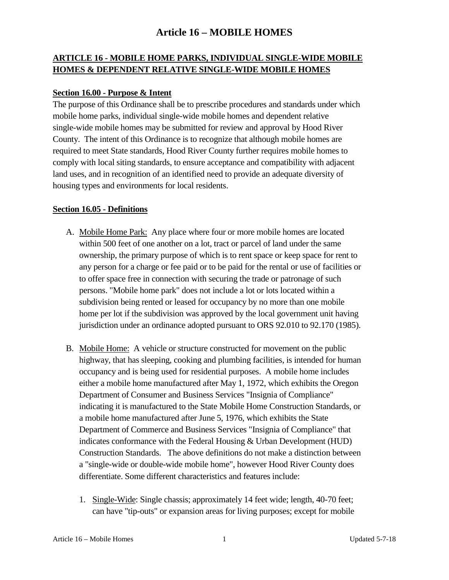### **ARTICLE 16 - MOBILE HOME PARKS, INDIVIDUAL SINGLE-WIDE MOBILE HOMES & DEPENDENT RELATIVE SINGLE-WIDE MOBILE HOMES**

#### **Section 16.00 - Purpose & Intent**

The purpose of this Ordinance shall be to prescribe procedures and standards under which mobile home parks, individual single-wide mobile homes and dependent relative single-wide mobile homes may be submitted for review and approval by Hood River County. The intent of this Ordinance is to recognize that although mobile homes are required to meet State standards, Hood River County further requires mobile homes to comply with local siting standards, to ensure acceptance and compatibility with adjacent land uses, and in recognition of an identified need to provide an adequate diversity of housing types and environments for local residents.

#### **Section 16.05 - Definitions**

- A. Mobile Home Park: Any place where four or more mobile homes are located within 500 feet of one another on a lot, tract or parcel of land under the same ownership, the primary purpose of which is to rent space or keep space for rent to any person for a charge or fee paid or to be paid for the rental or use of facilities or to offer space free in connection with securing the trade or patronage of such persons. "Mobile home park" does not include a lot or lots located within a subdivision being rented or leased for occupancy by no more than one mobile home per lot if the subdivision was approved by the local government unit having jurisdiction under an ordinance adopted pursuant to ORS 92.010 to 92.170 (1985).
- B. Mobile Home: A vehicle or structure constructed for movement on the public highway, that has sleeping, cooking and plumbing facilities, is intended for human occupancy and is being used for residential purposes. A mobile home includes either a mobile home manufactured after May 1, 1972, which exhibits the Oregon Department of Consumer and Business Services "Insignia of Compliance" indicating it is manufactured to the State Mobile Home Construction Standards, or a mobile home manufactured after June 5, 1976, which exhibits the State Department of Commerce and Business Services "Insignia of Compliance" that indicates conformance with the Federal Housing & Urban Development (HUD) Construction Standards. The above definitions do not make a distinction between a "single-wide or double-wide mobile home", however Hood River County does differentiate. Some different characteristics and features include:
	- 1. Single-Wide: Single chassis; approximately 14 feet wide; length, 40-70 feet; can have "tip-outs" or expansion areas for living purposes; except for mobile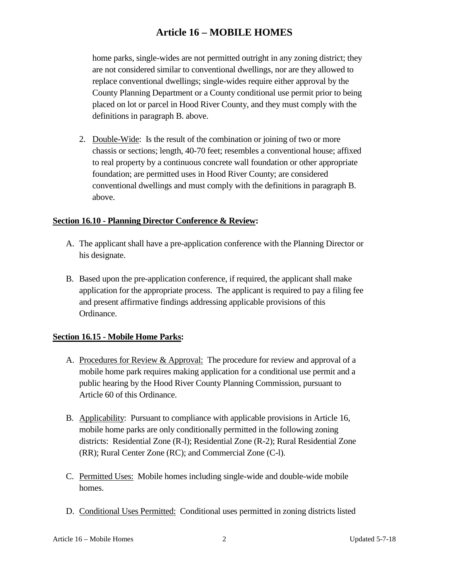home parks, single-wides are not permitted outright in any zoning district; they are not considered similar to conventional dwellings, nor are they allowed to replace conventional dwellings; single-wides require either approval by the County Planning Department or a County conditional use permit prior to being placed on lot or parcel in Hood River County, and they must comply with the definitions in paragraph B. above.

2. Double-Wide: Is the result of the combination or joining of two or more chassis or sections; length, 40-70 feet; resembles a conventional house; affixed to real property by a continuous concrete wall foundation or other appropriate foundation; are permitted uses in Hood River County; are considered conventional dwellings and must comply with the definitions in paragraph B. above.

#### **Section 16.10 - Planning Director Conference & Review:**

- A. The applicant shall have a pre-application conference with the Planning Director or his designate.
- B. Based upon the pre-application conference, if required, the applicant shall make application for the appropriate process. The applicant is required to pay a filing fee and present affirmative findings addressing applicable provisions of this Ordinance.

### **Section 16.15 - Mobile Home Parks:**

- A. Procedures for Review & Approval: The procedure for review and approval of a mobile home park requires making application for a conditional use permit and a public hearing by the Hood River County Planning Commission, pursuant to Article 60 of this Ordinance.
- B. Applicability: Pursuant to compliance with applicable provisions in Article 16, mobile home parks are only conditionally permitted in the following zoning districts: Residential Zone (R-l); Residential Zone (R-2); Rural Residential Zone (RR); Rural Center Zone (RC); and Commercial Zone (C-l).
- C. Permitted Uses: Mobile homes including single-wide and double-wide mobile homes.
- D. Conditional Uses Permitted: Conditional uses permitted in zoning districts listed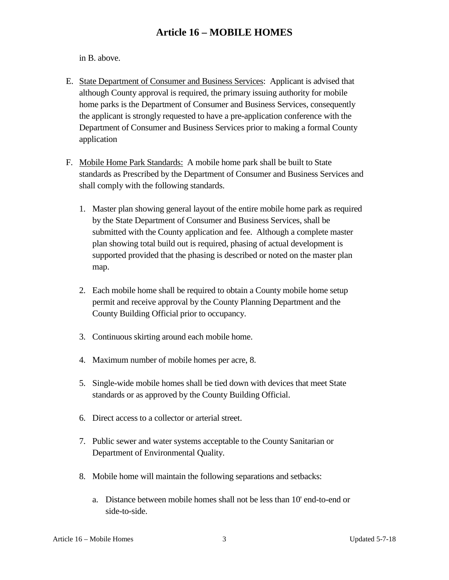in B. above.

- E. State Department of Consumer and Business Services: Applicant is advised that although County approval is required, the primary issuing authority for mobile home parks is the Department of Consumer and Business Services, consequently the applicant is strongly requested to have a pre-application conference with the Department of Consumer and Business Services prior to making a formal County application
- F. Mobile Home Park Standards: A mobile home park shall be built to State standards as Prescribed by the Department of Consumer and Business Services and shall comply with the following standards.
	- 1. Master plan showing general layout of the entire mobile home park as required by the State Department of Consumer and Business Services, shall be submitted with the County application and fee. Although a complete master plan showing total build out is required, phasing of actual development is supported provided that the phasing is described or noted on the master plan map.
	- 2. Each mobile home shall be required to obtain a County mobile home setup permit and receive approval by the County Planning Department and the County Building Official prior to occupancy.
	- 3. Continuous skirting around each mobile home.
	- 4. Maximum number of mobile homes per acre, 8.
	- 5. Single-wide mobile homes shall be tied down with devices that meet State standards or as approved by the County Building Official.
	- 6. Direct access to a collector or arterial street.
	- 7. Public sewer and water systems acceptable to the County Sanitarian or Department of Environmental Quality.
	- 8. Mobile home will maintain the following separations and setbacks:
		- a. Distance between mobile homes shall not be less than 10' end-to-end or side-to-side.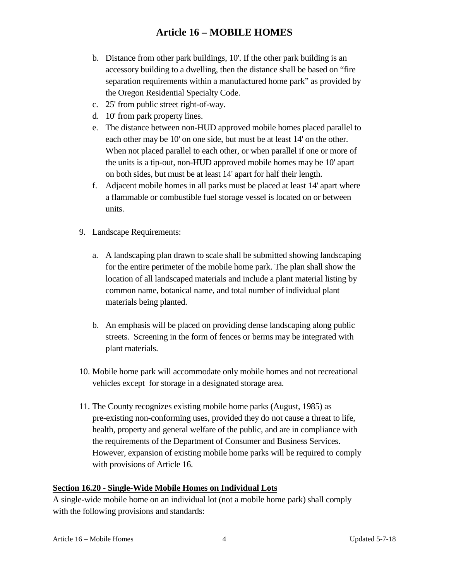- b. Distance from other park buildings, 10'. If the other park building is an accessory building to a dwelling, then the distance shall be based on "fire separation requirements within a manufactured home park" as provided by the Oregon Residential Specialty Code.
- c. 25' from public street right-of-way.
- d. 10' from park property lines.
- e. The distance between non-HUD approved mobile homes placed parallel to each other may be 10' on one side, but must be at least 14' on the other. When not placed parallel to each other, or when parallel if one or more of the units is a tip-out, non-HUD approved mobile homes may be 10' apart on both sides, but must be at least 14' apart for half their length.
- f. Adjacent mobile homes in all parks must be placed at least 14' apart where a flammable or combustible fuel storage vessel is located on or between units.
- 9. Landscape Requirements:
	- a. A landscaping plan drawn to scale shall be submitted showing landscaping for the entire perimeter of the mobile home park. The plan shall show the location of all landscaped materials and include a plant material listing by common name, botanical name, and total number of individual plant materials being planted.
	- b. An emphasis will be placed on providing dense landscaping along public streets. Screening in the form of fences or berms may be integrated with plant materials.
- 10. Mobile home park will accommodate only mobile homes and not recreational vehicles except for storage in a designated storage area.
- 11. The County recognizes existing mobile home parks (August, 1985) as pre-existing non-conforming uses, provided they do not cause a threat to life, health, property and general welfare of the public, and are in compliance with the requirements of the Department of Consumer and Business Services. However, expansion of existing mobile home parks will be required to comply with provisions of Article 16.

#### **Section 16.20 - Single-Wide Mobile Homes on Individual Lots**

A single-wide mobile home on an individual lot (not a mobile home park) shall comply with the following provisions and standards: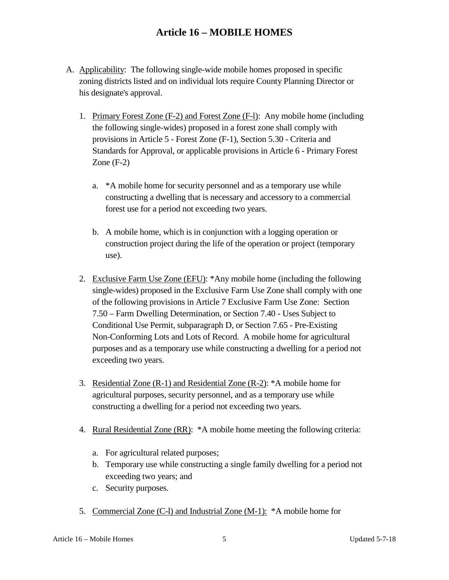- A. Applicability: The following single-wide mobile homes proposed in specific zoning districts listed and on individual lots require County Planning Director or his designate's approval.
	- 1. Primary Forest Zone (F-2) and Forest Zone (F-l): Any mobile home (including the following single-wides) proposed in a forest zone shall comply with provisions in Article 5 - Forest Zone (F-1), Section 5.30 - Criteria and Standards for Approval, or applicable provisions in Article 6 - Primary Forest Zone (F-2)
		- a. \*A mobile home for security personnel and as a temporary use while constructing a dwelling that is necessary and accessory to a commercial forest use for a period not exceeding two years.
		- b. A mobile home, which is in conjunction with a logging operation or construction project during the life of the operation or project (temporary use).
	- 2. Exclusive Farm Use Zone (EFU): \*Any mobile home (including the following single-wides) proposed in the Exclusive Farm Use Zone shall comply with one of the following provisions in Article 7 Exclusive Farm Use Zone: Section 7.50 – Farm Dwelling Determination, or Section 7.40 - Uses Subject to Conditional Use Permit, subparagraph D, or Section 7.65 - Pre-Existing Non-Conforming Lots and Lots of Record. A mobile home for agricultural purposes and as a temporary use while constructing a dwelling for a period not exceeding two years.
	- 3. Residential Zone (R-1) and Residential Zone (R-2): \*A mobile home for agricultural purposes, security personnel, and as a temporary use while constructing a dwelling for a period not exceeding two years.
	- 4. Rural Residential Zone (RR): \*A mobile home meeting the following criteria:
		- a. For agricultural related purposes;
		- b. Temporary use while constructing a single family dwelling for a period not exceeding two years; and
		- c. Security purposes.
	- 5. Commercial Zone (C-l) and Industrial Zone (M-1): \*A mobile home for

Article 16 – Mobile Homes 5 5 Updated 5-7-18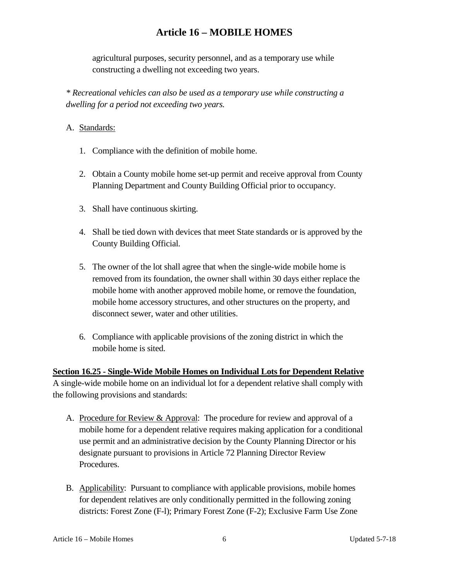agricultural purposes, security personnel, and as a temporary use while constructing a dwelling not exceeding two years.

*\* Recreational vehicles can also be used as a temporary use while constructing a dwelling for a period not exceeding two years.*

#### A. Standards:

- 1. Compliance with the definition of mobile home.
- 2. Obtain a County mobile home set-up permit and receive approval from County Planning Department and County Building Official prior to occupancy.
- 3. Shall have continuous skirting.
- 4. Shall be tied down with devices that meet State standards or is approved by the County Building Official.
- 5. The owner of the lot shall agree that when the single-wide mobile home is removed from its foundation, the owner shall within 30 days either replace the mobile home with another approved mobile home, or remove the foundation, mobile home accessory structures, and other structures on the property, and disconnect sewer, water and other utilities.
- 6. Compliance with applicable provisions of the zoning district in which the mobile home is sited.

**Section 16.25 - Single-Wide Mobile Homes on Individual Lots for Dependent Relative** A single-wide mobile home on an individual lot for a dependent relative shall comply with the following provisions and standards:

- A. Procedure for Review & Approval: The procedure for review and approval of a mobile home for a dependent relative requires making application for a conditional use permit and an administrative decision by the County Planning Director or his designate pursuant to provisions in Article 72 Planning Director Review Procedures.
- B. Applicability: Pursuant to compliance with applicable provisions, mobile homes for dependent relatives are only conditionally permitted in the following zoning districts: Forest Zone (F-l); Primary Forest Zone (F-2); Exclusive Farm Use Zone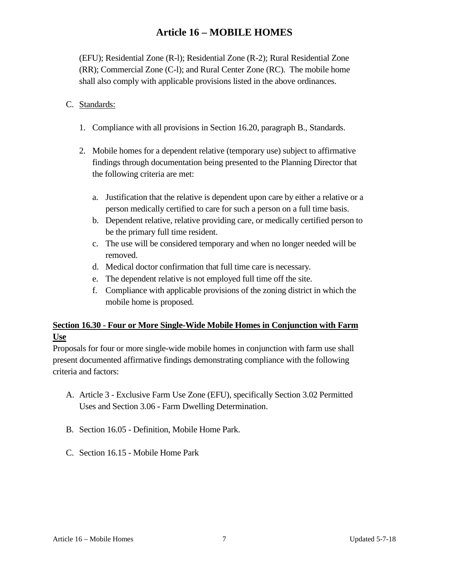(EFU); Residential Zone (R-l); Residential Zone (R-2); Rural Residential Zone (RR); Commercial Zone (C-l); and Rural Center Zone (RC). The mobile home shall also comply with applicable provisions listed in the above ordinances.

#### C. Standards:

- 1. Compliance with all provisions in Section 16.20, paragraph B., Standards.
- 2. Mobile homes for a dependent relative (temporary use) subject to affirmative findings through documentation being presented to the Planning Director that the following criteria are met:
	- a. Justification that the relative is dependent upon care by either a relative or a person medically certified to care for such a person on a full time basis.
	- b. Dependent relative, relative providing care, or medically certified person to be the primary full time resident.
	- c. The use will be considered temporary and when no longer needed will be removed.
	- d. Medical doctor confirmation that full time care is necessary.
	- e. The dependent relative is not employed full time off the site.
	- f. Compliance with applicable provisions of the zoning district in which the mobile home is proposed.

### **Section 16.30 - Four or More Single-Wide Mobile Homes in Conjunction with Farm Use**

Proposals for four or more single-wide mobile homes in conjunction with farm use shall present documented affirmative findings demonstrating compliance with the following criteria and factors:

- A. Article 3 Exclusive Farm Use Zone (EFU), specifically Section 3.02 Permitted Uses and Section 3.06 **-** Farm Dwelling Determination.
- B. Section 16.05 Definition, Mobile Home Park.
- C. Section 16.15 Mobile Home Park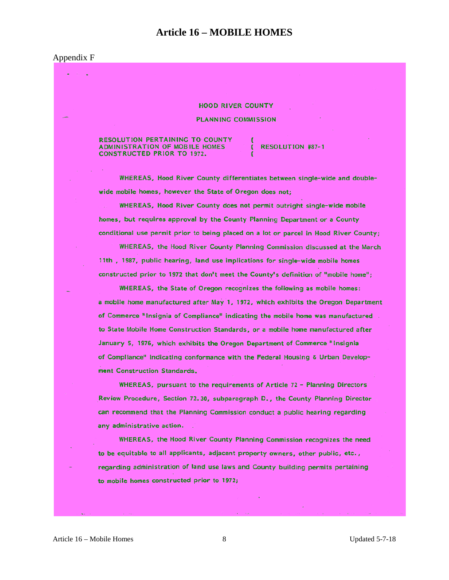#### Appendix F

**HOOD RIVER COUNTY PLANNING COMMISSION** 

**RESOLUTION PERTAINING TO COUNTY ADMINISTRATION OF MOBILE HOMES CONSTRUCTED PRIOR TO 1972.** 

RESOLUTION #87-1

WHEREAS, Hood River County differentiates between single-wide and doublewide mobile homes, however the State of Oregon does not;

WHEREAS, Hood River County does not permit outright single-wide mobile homes, but requires approval by the County Planning Department or a County conditional use permit prior to being placed on a lot or parcel in Hood River County;

WHEREAS, the Hood River County Planning Commission discussed at the March 11th, 1987, public hearing, land use implications for single-wide mobile homes constructed prior to 1972 that don't meet the County's definition of "mobile home";

WHEREAS, the State of Oregon recognizes the following as mobile homes: a mobile home manufactured after May 1, 1972, which exhibits the Oregon Department of Commerce "Insignia of Compliance" indicating the mobile home was manufactured to State Mobile Home Construction Standards, or a mobile home manufactured after January 5, 1976, which exhibits the Oregon Department of Commerce "Insignia of Compliance" indicating conformance with the Federal Housing & Urban Development Construction Standards.

WHEREAS, pursuant to the requirements of Article 72 - Planning Directors Review Procedure, Section 72.30, subparagraph D., the County Planning Director can recommend that the Planning Commission conduct a public hearing regarding any administrative action.

WHEREAS, the Hood River County Planning Commission recognizes the need to be equitable to all applicants, adjacent property owners, other public, etc., regarding administration of land use laws and County building permits pertaining to mobile homes constructed prior to 1972;